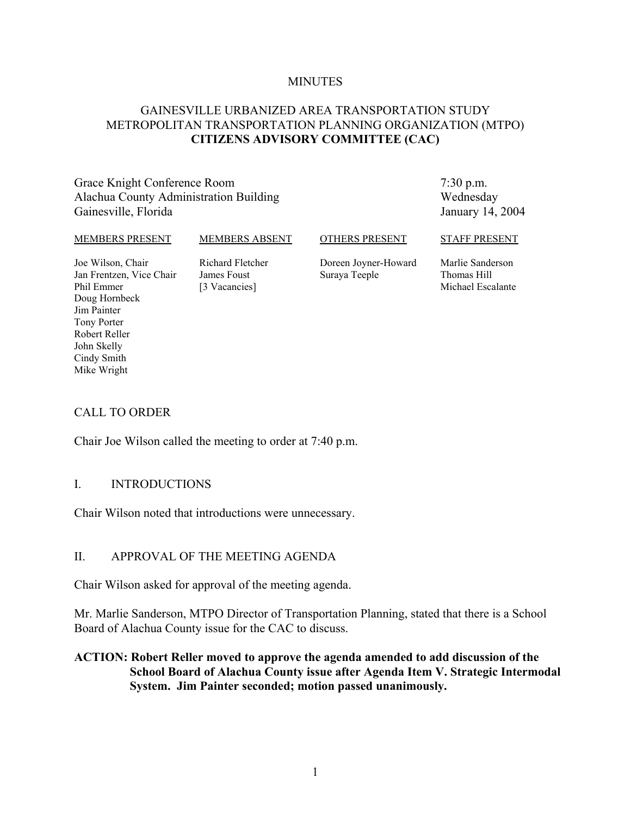#### **MINUTES**

# GAINESVILLE URBANIZED AREA TRANSPORTATION STUDY METROPOLITAN TRANSPORTATION PLANNING ORGANIZATION (MTPO) **CITIZENS ADVISORY COMMITTEE (CAC)**

Grace Knight Conference Room Alachua County Administration Building Gainesville, Florida

7:30 p.m. Wednesday January 14, 2004

#### MEMBERS PRESENT

#### MEMBERS ABSENT

OTHERS PRESENT

STAFF PRESENT

Joe Wilson, Chair Jan Frentzen, Vice Chair Phil Emmer Doug Hornbeck Jim Painter Tony Porter Robert Reller John Skelly Cindy Smith Mike Wright

Richard Fletcher James Foust [3 Vacancies]

Doreen Joyner-Howard Suraya Teeple

Marlie Sanderson Thomas Hill Michael Escalante

## CALL TO ORDER

Chair Joe Wilson called the meeting to order at 7:40 p.m.

### I. INTRODUCTIONS

Chair Wilson noted that introductions were unnecessary.

## II. APPROVAL OF THE MEETING AGENDA

Chair Wilson asked for approval of the meeting agenda.

Mr. Marlie Sanderson, MTPO Director of Transportation Planning, stated that there is a School Board of Alachua County issue for the CAC to discuss.

# **ACTION: Robert Reller moved to approve the agenda amended to add discussion of the School Board of Alachua County issue after Agenda Item V. Strategic Intermodal System. Jim Painter seconded; motion passed unanimously.**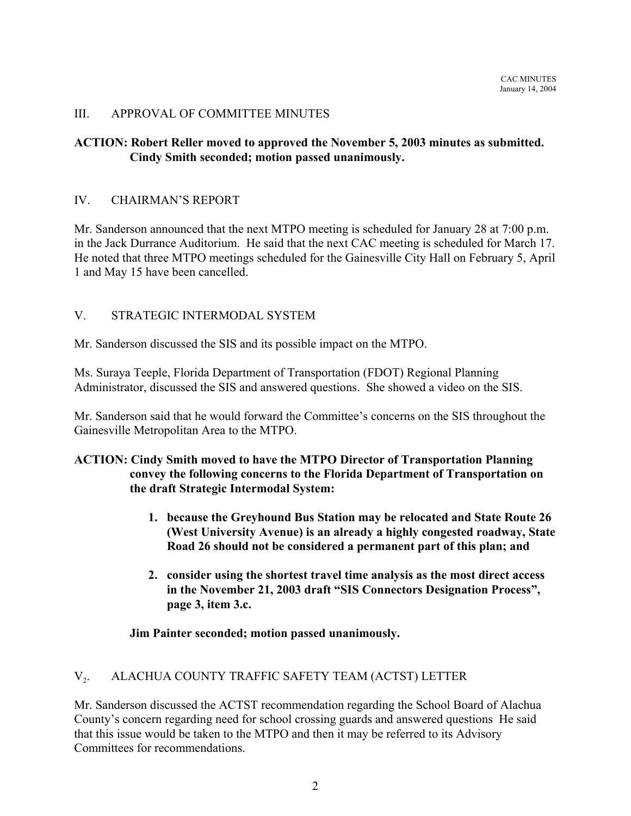# III. APPROVAL OF COMMITTEE MINUTES

# **ACTION: Robert Reller moved to approved the November 5, 2003 minutes as submitted. Cindy Smith seconded; motion passed unanimously.**

### IV. CHAIRMAN'S REPORT

Mr. Sanderson announced that the next MTPO meeting is scheduled for January 28 at 7:00 p.m. in the Jack Durrance Auditorium. He said that the next CAC meeting is scheduled for March 17. He noted that three MTPO meetings scheduled for the Gainesville City Hall on February 5, April 1 and May 15 have been cancelled.

# V. STRATEGIC INTERMODAL SYSTEM

Mr. Sanderson discussed the SIS and its possible impact on the MTPO.

Ms. Suraya Teeple, Florida Department of Transportation (FDOT) Regional Planning Administrator, discussed the SIS and answered questions. She showed a video on the SIS.

Mr. Sanderson said that he would forward the Committee's concerns on the SIS throughout the Gainesville Metropolitan Area to the MTPO.

## **ACTION: Cindy Smith moved to have the MTPO Director of Transportation Planning convey the following concerns to the Florida Department of Transportation on the draft Strategic Intermodal System:**

- **1. because the Greyhound Bus Station may be relocated and State Route 26 (West University Avenue) is an already a highly congested roadway, State Road 26 should not be considered a permanent part of this plan; and**
- **2. consider using the shortest travel time analysis as the most direct access in the November 21, 2003 draft "SIS Connectors Designation Process", page 3, item 3.c.**

## **Jim Painter seconded; motion passed unanimously.**

## V<sub>2</sub>. ALACHUA COUNTY TRAFFIC SAFETY TEAM (ACTST) LETTER

Mr. Sanderson discussed the ACTST recommendation regarding the School Board of Alachua County's concern regarding need for school crossing guards and answered questions He said that this issue would be taken to the MTPO and then it may be referred to its Advisory Committees for recommendations.